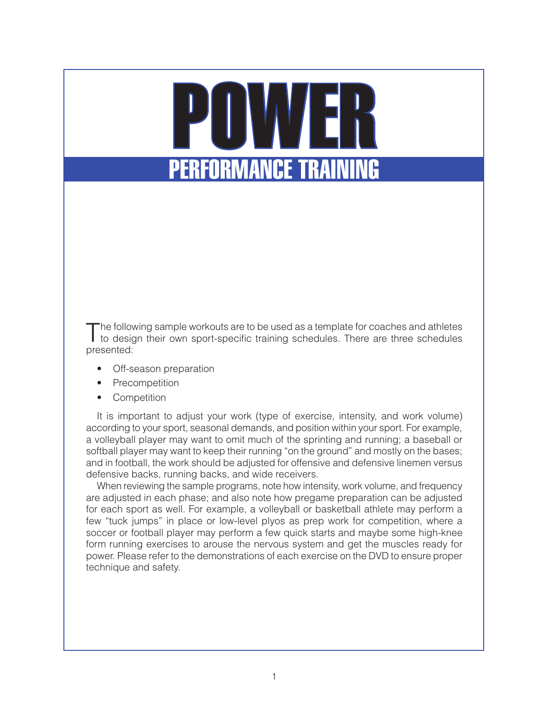# POWER **ERFORMANCE TRAINING**

The following sample workouts are to be used as a template for coaches and athletes<br>to design their own sport-specific training schedules. There are three schedules presented:

- Off-season preparation
- Precompetition
- Competition

It is important to adjust your work (type of exercise, intensity, and work volume) according to your sport, seasonal demands, and position within your sport. For example, a volleyball player may want to omit much of the sprinting and running; a baseball or softball player may want to keep their running "on the ground" and mostly on the bases; and in football, the work should be adjusted for offensive and defensive linemen versus defensive backs, running backs, and wide receivers.

When reviewing the sample programs, note how intensity, work volume, and frequency are adjusted in each phase; and also note how pregame preparation can be adjusted for each sport as well. For example, a volleyball or basketball athlete may perform a few "tuck jumps" in place or low-level plyos as prep work for competition, where a soccer or football player may perform a few quick starts and maybe some high-knee form running exercises to arouse the nervous system and get the muscles ready for power. Please refer to the demonstrations of each exercise on the DVD to ensure proper technique and safety.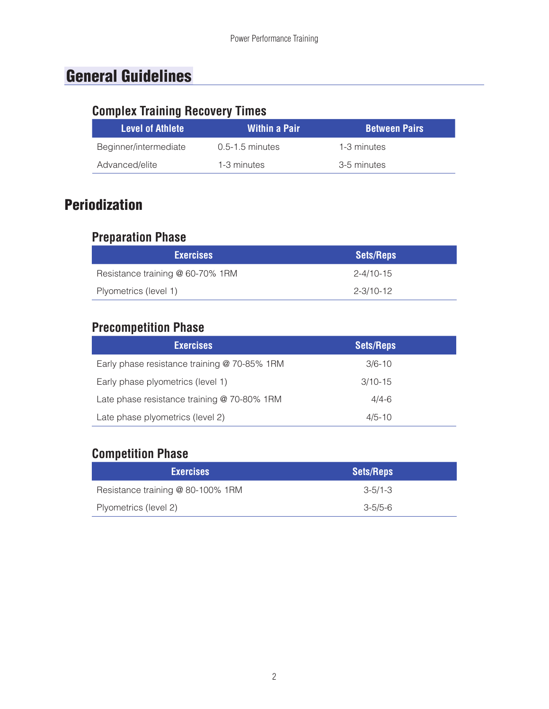## General Guidelines

## **Complex Training Recovery Times**

| <b>Level of Athlete</b> | Within a Pair     | <b>Between Pairs</b> |
|-------------------------|-------------------|----------------------|
| Beginner/intermediate   | $0.5-1.5$ minutes | 1-3 minutes          |
| Advanced/elite          | 1-3 minutes       | 3-5 minutes          |

## Periodization

#### **Preparation Phase**

| <b>Exercises</b>                 | <b>Sets/Reps</b> |
|----------------------------------|------------------|
| Resistance training @ 60-70% 1RM | $2 - 4/10 - 15$  |
| Plyometrics (level 1)            | 2-3/10-12        |

#### **Precompetition Phase**

| <b>Exercises</b>                             | <b>Sets/Reps</b> |
|----------------------------------------------|------------------|
| Early phase resistance training @ 70-85% 1RM | $3/6 - 10$       |
| Early phase plyometrics (level 1)            | $3/10 - 15$      |
| Late phase resistance training @ 70-80% 1RM  | $4/4 - 6$        |
| Late phase plyometrics (level 2)             | $4/5 - 10$       |

#### **Competition Phase**

| <b>Exercises</b>                  | <b>Sets/Reps</b> |
|-----------------------------------|------------------|
| Resistance training @ 80-100% 1RM | $3 - 5/1 - 3$    |
| Plyometrics (level 2)             | $3 - 5/5 - 6$    |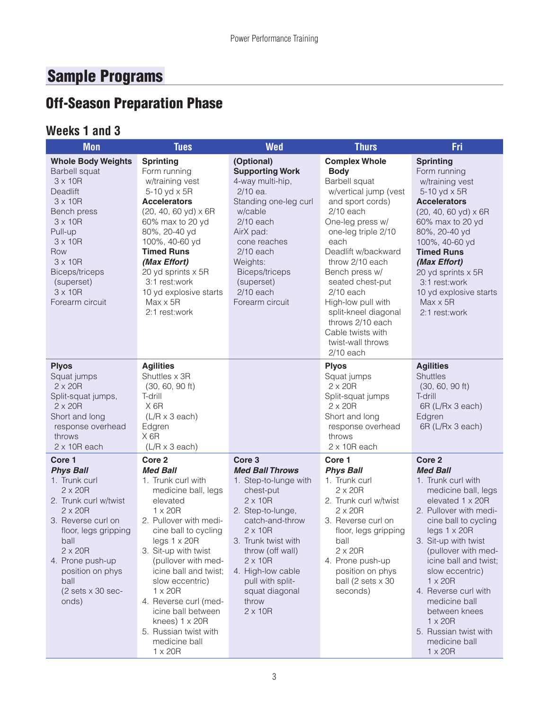# Sample Programs

# Off-Season Preparation Phase

#### **Weeks 1 and 3**

| <b>Mon</b>                                                                                                                                                                                                                                                                                 | <b>Tues</b>                                                                                                                                                                                                                                                                                                                                                                                                                 | <b>Wed</b>                                                                                                                                                                                                                                                                                                       | <b>Thurs</b>                                                                                                                                                                                                                                                                                                                                                                                  | Fri                                                                                                                                                                                                                                                                                                                                                                                                                                   |
|--------------------------------------------------------------------------------------------------------------------------------------------------------------------------------------------------------------------------------------------------------------------------------------------|-----------------------------------------------------------------------------------------------------------------------------------------------------------------------------------------------------------------------------------------------------------------------------------------------------------------------------------------------------------------------------------------------------------------------------|------------------------------------------------------------------------------------------------------------------------------------------------------------------------------------------------------------------------------------------------------------------------------------------------------------------|-----------------------------------------------------------------------------------------------------------------------------------------------------------------------------------------------------------------------------------------------------------------------------------------------------------------------------------------------------------------------------------------------|---------------------------------------------------------------------------------------------------------------------------------------------------------------------------------------------------------------------------------------------------------------------------------------------------------------------------------------------------------------------------------------------------------------------------------------|
| <b>Whole Body Weights</b><br><b>Barbell squat</b><br>$3 \times 10R$<br>Deadlift<br>$3 \times 10R$<br>Bench press<br>$3 \times 10R$<br>Pull-up<br>$3 \times 10R$<br>Row<br>$3 \times 10R$<br>Biceps/triceps<br>(superset)<br>$3 \times 10R$<br>Forearm circuit                              | <b>Sprinting</b><br>Form running<br>w/training vest<br>$5-10$ yd $\times$ 5R<br><b>Accelerators</b><br>(20, 40, 60 yd) x 6R<br>60% max to 20 yd<br>80%, 20-40 yd<br>100%, 40-60 yd<br><b>Timed Runs</b><br>(Max Effort)<br>20 yd sprints x 5R<br>3:1 rest:work<br>10 yd explosive starts<br>$Max \times 5R$<br>2:1 rest:work                                                                                                | (Optional)<br><b>Supporting Work</b><br>4-way multi-hip,<br>2/10 ea.<br>Standing one-leg curl<br>w/cable<br>$2/10$ each<br>AirX pad:<br>cone reaches<br>$2/10$ each<br>Weights:<br>Biceps/triceps<br>(superset)<br>$2/10$ each<br>Forearm circuit                                                                | <b>Complex Whole</b><br><b>Body</b><br>Barbell squat<br>w/vertical jump (vest<br>and sport cords)<br>$2/10$ each<br>One-leg press w/<br>one-leg triple 2/10<br>each<br>Deadlift w/backward<br>throw 2/10 each<br>Bench press w/<br>seated chest-put<br>$2/10$ each<br>High-low pull with<br>split-kneel diagonal<br>throws 2/10 each<br>Cable twists with<br>twist-wall throws<br>$2/10$ each | <b>Sprinting</b><br>Form running<br>w/training vest<br>5-10 yd x 5R<br><b>Accelerators</b><br>(20, 40, 60 yd) x 6R<br>60% max to 20 yd<br>80%, 20-40 yd<br>100%, 40-60 yd<br><b>Timed Runs</b><br>(Max Effort)<br>20 yd sprints x 5R<br>3:1 rest:work<br>10 yd explosive starts<br>$Max \times 5R$<br>2:1 rest:work                                                                                                                   |
| <b>Plyos</b><br>Squat jumps<br>$2 \times 20R$<br>Split-squat jumps,<br>$2 \times 20R$<br>Short and long<br>response overhead<br>throws<br>$2 \times 10R$ each                                                                                                                              | <b>Agilities</b><br>Shuttles x 3R<br>$(30, 60, 90$ ft)<br>T-drill<br>X <sub>6R</sub><br>$(L/R \times 3$ each)<br>Edgren<br>X <sub>6R</sub><br>$(L/R \times 3$ each)                                                                                                                                                                                                                                                         |                                                                                                                                                                                                                                                                                                                  | <b>Plyos</b><br>Squat jumps<br>$2 \times 20R$<br>Split-squat jumps<br>$2 \times 20R$<br>Short and long<br>response overhead<br>throws<br>$2 \times 10R$ each                                                                                                                                                                                                                                  | <b>Agilities</b><br><b>Shuttles</b><br>$(30, 60, 90$ ft)<br>T-drill<br>6R (L/Rx 3 each)<br>Edgren<br>6R (L/Rx 3 each)                                                                                                                                                                                                                                                                                                                 |
| Core 1<br><b>Phys Ball</b><br>1. Trunk curl<br>$2 \times 20R$<br>2. Trunk curl w/twist<br>$2 \times 20R$<br>3. Reverse curl on<br>floor, legs gripping<br>ball<br>$2 \times 20R$<br>4. Prone push-up<br>position on phys<br>ball<br>$(2 \text{ sets} \times 30 \text{ sec}^{-1})$<br>onds) | Core <sub>2</sub><br><b>Med Ball</b><br>1. Trunk curl with<br>medicine ball, legs<br>elevated<br>$1 \times 20R$<br>2. Pullover with medi-<br>cine ball to cycling<br>legs 1 × 20R<br>3. Sit-up with twist<br>(pullover with med-<br>icine ball and twist;<br>slow eccentric)<br>$1 \times 20R$<br>4. Reverse curl (med-<br>icine ball between<br>knees) $1 \times 20R$<br>5. Russian twist with<br>medicine ball<br>1 x 20R | Core <sub>3</sub><br><b>Med Ball Throws</b><br>1. Step-to-lunge with<br>chest-put<br>$2 \times 10R$<br>2. Step-to-lunge,<br>catch-and-throw<br>$2 \times 10R$<br>3. Trunk twist with<br>throw (off wall)<br>$2 \times 10R$<br>4. High-low cable<br>pull with split-<br>squat diagonal<br>throw<br>$2 \times 10R$ | Core 1<br><b>Phys Ball</b><br>1. Trunk curl<br>$2 \times 20R$<br>2. Trunk curl w/twist<br>$2 \times 20R$<br>3. Reverse curl on<br>floor, legs gripping<br>ball<br>$2 \times 20R$<br>4. Prone push-up<br>position on phys<br>ball (2 sets x 30<br>seconds)                                                                                                                                     | Core <sub>2</sub><br><b>Med Ball</b><br>1. Trunk curl with<br>medicine ball, legs<br>elevated 1 x 20R<br>2. Pullover with medi-<br>cine ball to cycling<br>$legs$ 1 $\times$ 20R<br>3. Sit-up with twist<br>(pullover with med-<br>icine ball and twist;<br>slow eccentric)<br>$1 \times 20R$<br>4. Reverse curl with<br>medicine ball<br>between knees<br>$1 \times 20R$<br>5. Russian twist with<br>medicine ball<br>$1 \times 20R$ |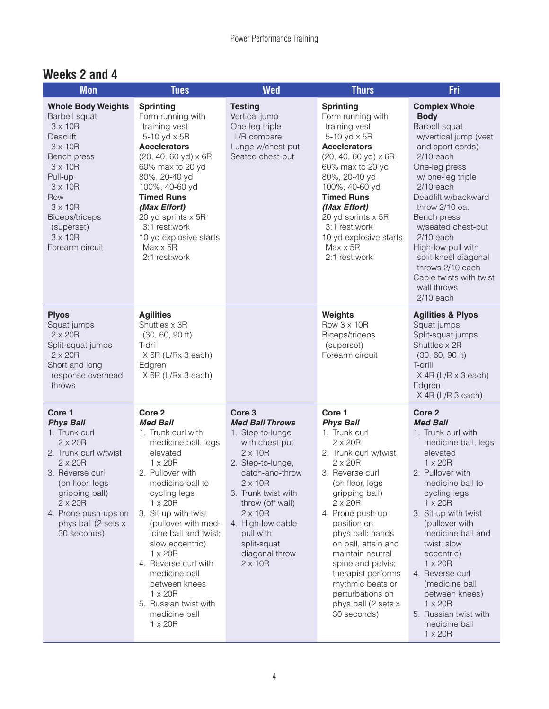#### **Weeks 2 and 4**

| <b>Mon</b>                                                                                                                                                                                                                                                    | <b>Tues</b>                                                                                                                                                                                                                                                                                                                                                                                                                                    | <b>Wed</b>                                                                                                                                                                                                                                                                                                      | <b>Thurs</b>                                                                                                                                                                                                                                                                                                                                                                                                   | <b>Fri</b>                                                                                                                                                                                                                                                                                                                                                                                                                                   |
|---------------------------------------------------------------------------------------------------------------------------------------------------------------------------------------------------------------------------------------------------------------|------------------------------------------------------------------------------------------------------------------------------------------------------------------------------------------------------------------------------------------------------------------------------------------------------------------------------------------------------------------------------------------------------------------------------------------------|-----------------------------------------------------------------------------------------------------------------------------------------------------------------------------------------------------------------------------------------------------------------------------------------------------------------|----------------------------------------------------------------------------------------------------------------------------------------------------------------------------------------------------------------------------------------------------------------------------------------------------------------------------------------------------------------------------------------------------------------|----------------------------------------------------------------------------------------------------------------------------------------------------------------------------------------------------------------------------------------------------------------------------------------------------------------------------------------------------------------------------------------------------------------------------------------------|
| <b>Whole Body Weights</b><br><b>Barbell squat</b><br>$3 \times 10R$<br>Deadlift<br>$3 \times 10R$<br>Bench press<br>$3 \times 10R$<br>Pull-up<br>$3 \times 10R$<br>Row<br>$3 \times 10R$<br>Biceps/triceps<br>(superset)<br>$3 \times 10R$<br>Forearm circuit | <b>Sprinting</b><br>Form running with<br>training vest<br>5-10 yd x 5R<br><b>Accelerators</b><br>$(20, 40, 60 yd) \times 6R$<br>60% max to 20 yd<br>80%, 20-40 yd<br>100%, 40-60 yd<br><b>Timed Runs</b><br>(Max Effort)<br>20 yd sprints x 5R<br>3:1 rest:work<br>10 yd explosive starts<br>$Max \times 5R$<br>2:1 rest:work                                                                                                                  | <b>Testing</b><br>Vertical jump<br>One-leg triple<br>L/R compare<br>Lunge w/chest-put<br>Seated chest-put                                                                                                                                                                                                       | <b>Sprinting</b><br>Form running with<br>training vest<br>5-10 yd x 5R<br><b>Accelerators</b><br>$(20, 40, 60 yd) \times 6R$<br>60% max to 20 yd<br>80%, 20-40 yd<br>100%, 40-60 yd<br><b>Timed Runs</b><br>(Max Effort)<br>20 yd sprints x 5R<br>3:1 rest:work<br>10 yd explosive starts<br>$Max \times 5R$<br>2:1 rest:work                                                                                  | <b>Complex Whole</b><br><b>Body</b><br><b>Barbell squat</b><br>w/vertical jump (vest<br>and sport cords)<br>$2/10$ each<br>One-leg press<br>w/ one-leg triple<br>$2/10$ each<br>Deadlift w/backward<br>throw 2/10 ea.<br>Bench press<br>w/seated chest-put<br>$2/10$ each<br>High-low pull with<br>split-kneel diagonal<br>throws 2/10 each<br>Cable twists with twist<br>wall throws<br>$2/10$ each                                         |
| <b>Plyos</b><br>Squat jumps<br>$2 \times 20R$<br>Split-squat jumps<br>$2 \times 20R$<br>Short and long<br>response overhead<br>throws                                                                                                                         | <b>Agilities</b><br>Shuttles x 3R<br>$(30, 60, 90$ ft)<br>T-drill<br>X 6R (L/Rx 3 each)<br>Edgren<br>X 6R (L/Rx 3 each)                                                                                                                                                                                                                                                                                                                        |                                                                                                                                                                                                                                                                                                                 | Weights<br>Row 3 x 10R<br>Biceps/triceps<br>(superset)<br>Forearm circuit                                                                                                                                                                                                                                                                                                                                      | <b>Agilities &amp; Plyos</b><br>Squat jumps<br>Split-squat jumps<br>Shuttles x 2R<br>$(30, 60, 90$ ft)<br>T-drill<br>$X$ 4R (L/R $\times$ 3 each)<br>Edgren<br>X 4R (L/R 3 each)                                                                                                                                                                                                                                                             |
| Core 1<br><b>Phys Ball</b><br>1. Trunk curl<br>$2 \times 20R$<br>2. Trunk curl w/twist<br>$2 \times 20R$<br>3. Reverse curl<br>(on floor, legs<br>gripping ball)<br>$2 \times 20R$<br>4. Prone push-ups on<br>phys ball (2 sets x<br>30 seconds)              | Core <sub>2</sub><br><b>Med Ball</b><br>1. Trunk curl with<br>medicine ball, legs<br>elevated<br>$1 \times 20R$<br>2. Pullover with<br>medicine ball to<br>cycling legs<br>$1 \times 20R$<br>3. Sit-up with twist<br>(pullover with med-<br>icine ball and twist;<br>slow eccentric)<br>$1 \times 20R$<br>4. Reverse curl with<br>medicine ball<br>between knees<br>$1 \times 20R$<br>5. Russian twist with<br>medicine ball<br>$1 \times 20R$ | Core <sub>3</sub><br><b>Med Ball Throws</b><br>1. Step-to-lunge<br>with chest-put<br>$2 \times 10R$<br>2. Step-to-lunge,<br>catch-and-throw<br>$2 \times 10R$<br>3. Trunk twist with<br>throw (off wall)<br>$2 \times 10R$<br>4. High-low cable<br>pull with<br>split-squat<br>diagonal throw<br>$2 \times 10R$ | Core 1<br><b>Phys Ball</b><br>1. Trunk curl<br>$2 \times 20R$<br>2. Trunk curl w/twist<br>$2 \times 20R$<br>3. Reverse curl<br>(on floor, legs<br>gripping ball)<br>$2 \times 20R$<br>4. Prone push-up<br>position on<br>phys ball: hands<br>on ball, attain and<br>maintain neutral<br>spine and pelvis;<br>therapist performs<br>rhythmic beats or<br>perturbations on<br>phys ball (2 sets x<br>30 seconds) | Core <sub>2</sub><br><b>Med Ball</b><br>1. Trunk curl with<br>medicine ball, legs<br>elevated<br>$1 \times 20R$<br>2. Pullover with<br>medicine ball to<br>cycling legs<br>$1 \times 20R$<br>3. Sit-up with twist<br>(pullover with<br>medicine ball and<br>twist; slow<br>eccentric)<br>$1 \times 20R$<br>4. Reverse curl<br>(medicine ball<br>between knees)<br>$1 \times 20R$<br>5. Russian twist with<br>medicine ball<br>$1 \times 20R$ |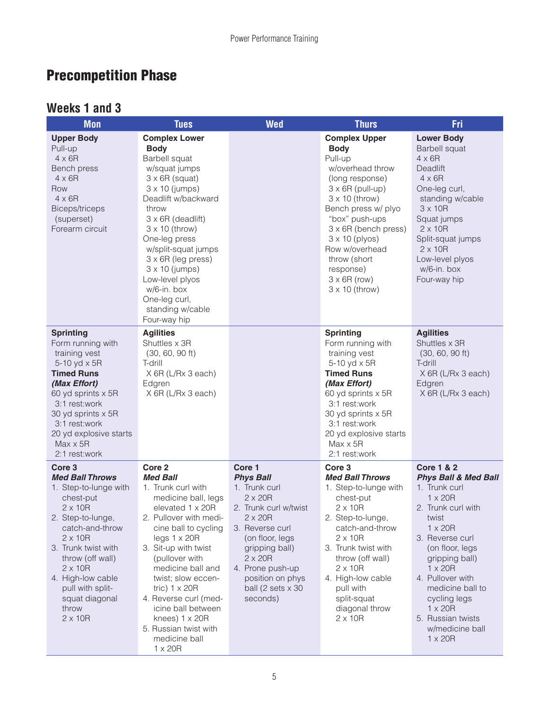# Precompetition Phase

#### **Weeks 1 and 3**

| <b>Mon</b>                                                                                                                                                                                                                                                                                            | <b>Tues</b>                                                                                                                                                                                                                                                                                                                                                                                                              | <b>Wed</b>                                                                                                                                                                                                                                                  | <b>Thurs</b>                                                                                                                                                                                                                                                                                                                              | Fri                                                                                                                                                                                                                                                                                                                                                        |
|-------------------------------------------------------------------------------------------------------------------------------------------------------------------------------------------------------------------------------------------------------------------------------------------------------|--------------------------------------------------------------------------------------------------------------------------------------------------------------------------------------------------------------------------------------------------------------------------------------------------------------------------------------------------------------------------------------------------------------------------|-------------------------------------------------------------------------------------------------------------------------------------------------------------------------------------------------------------------------------------------------------------|-------------------------------------------------------------------------------------------------------------------------------------------------------------------------------------------------------------------------------------------------------------------------------------------------------------------------------------------|------------------------------------------------------------------------------------------------------------------------------------------------------------------------------------------------------------------------------------------------------------------------------------------------------------------------------------------------------------|
| <b>Upper Body</b><br>Pull-up<br>$4 \times 6R$<br>Bench press<br>$4 \times 6R$<br>Row<br>$4 \times 6R$<br>Biceps/triceps<br>(superset)<br>Forearm circuit                                                                                                                                              | <b>Complex Lower</b><br><b>Body</b><br>Barbell squat<br>w/squat jumps<br>$3 \times 6R$ (squat)<br>$3 \times 10$ (jumps)<br>Deadlift w/backward<br>throw<br>$3 \times 6R$ (deadlift)<br>$3 \times 10$ (throw)<br>One-leg press<br>w/split-squat jumps<br>3 x 6R (leg press)<br>$3 \times 10$ (jumps)<br>Low-level plyos<br>w/6-in. box<br>One-leg curl,<br>standing w/cable<br>Four-way hip                               |                                                                                                                                                                                                                                                             | <b>Complex Upper</b><br><b>Body</b><br>Pull-up<br>w/overhead throw<br>(long response)<br>$3 \times 6R$ (pull-up)<br>$3 \times 10$ (throw)<br>Bench press w/ plyo<br>"box" push-ups<br>$3 \times 6R$ (bench press)<br>$3 \times 10$ (plyos)<br>Row w/overhead<br>throw (short<br>response)<br>$3 \times 6R$ (row)<br>$3 \times 10$ (throw) | <b>Lower Body</b><br><b>Barbell squat</b><br>$4 \times 6R$<br>Deadlift<br>$4 \times 6R$<br>One-leg curl,<br>standing w/cable<br>$3 \times 10R$<br>Squat jumps<br>$2 \times 10R$<br>Split-squat jumps<br>$2 \times 10R$<br>Low-level plyos<br>w/6-in. box<br>Four-way hip                                                                                   |
| <b>Sprinting</b><br>Form running with<br>training vest<br>5-10 yd x 5R<br><b>Timed Runs</b><br>(Max Effort)<br>60 yd sprints x 5R<br>3:1 rest:work<br>30 yd sprints x 5R<br>3:1 rest:work<br>20 yd explosive starts<br>$Max \times 5R$<br>2:1 rest:work                                               | <b>Agilities</b><br>Shuttles x 3R<br>$(30, 60, 90$ ft)<br>T-drill<br>X 6R (L/Rx 3 each)<br>Edgren<br>X 6R (L/Rx 3 each)                                                                                                                                                                                                                                                                                                  |                                                                                                                                                                                                                                                             | <b>Sprinting</b><br>Form running with<br>training vest<br>5-10 yd x 5R<br><b>Timed Runs</b><br>(Max Effort)<br>60 yd sprints x 5R<br>3:1 rest:work<br>30 yd sprints x 5R<br>3:1 rest:work<br>20 yd explosive starts<br>Max x 5R<br>2:1 rest:work                                                                                          | <b>Agilities</b><br>Shuttles x 3R<br>$(30, 60, 90$ ft)<br>T-drill<br>X 6R (L/Rx 3 each)<br>Edgren<br>X 6R (L/Rx 3 each)                                                                                                                                                                                                                                    |
| Core 3<br><b>Med Ball Throws</b><br>1. Step-to-lunge with<br>chest-put<br>$2 \times 10R$<br>2. Step-to-lunge,<br>catch-and-throw<br>$2 \times 10R$<br>3. Trunk twist with<br>throw (off wall)<br>$2 \times 10R$<br>4. High-low cable<br>pull with split-<br>squat diagonal<br>throw<br>$2 \times 10R$ | Core <sub>2</sub><br><b>Med Ball</b><br>1. Trunk curl with<br>medicine ball, legs<br>elevated 1 x 20R<br>2. Pullover with medi-<br>cine ball to cycling<br>legs $1 \times 20R$<br>3. Sit-up with twist<br>(pullover with<br>medicine ball and<br>twist; slow eccen-<br>tric) $1 \times 20R$<br>4. Reverse curl (med-<br>icine ball between<br>knees) 1 x 20R<br>5. Russian twist with<br>medicine ball<br>$1 \times 20R$ | Core 1<br><b>Phys Ball</b><br>1. Trunk curl<br>$2 \times 20R$<br>2. Trunk curl w/twist<br>$2 \times 20R$<br>3. Reverse curl<br>(on floor, legs<br>gripping ball)<br>$2 \times 20R$<br>4. Prone push-up<br>position on phys<br>ball (2 sets x 30<br>seconds) | Core 3<br><b>Med Ball Throws</b><br>1. Step-to-lunge with<br>chest-put<br>$2 \times 10R$<br>2. Step-to-lunge,<br>catch-and-throw<br>$2 \times 10R$<br>3. Trunk twist with<br>throw (off wall)<br>$2 \times 10R$<br>4. High-low cable<br>pull with<br>split-squat<br>diagonal throw<br>$2 \times 10R$                                      | <b>Core 1 &amp; 2</b><br><b>Phys Ball &amp; Med Ball</b><br>1. Trunk curl<br>$1 \times 20R$<br>2. Trunk curl with<br>twist<br>$1 \times 20R$<br>3. Reverse curl<br>(on floor, legs<br>gripping ball)<br>$1 \times 20R$<br>4. Pullover with<br>medicine ball to<br>cycling legs<br>$1 \times 20R$<br>5. Russian twists<br>w/medicine ball<br>$1 \times 20R$ |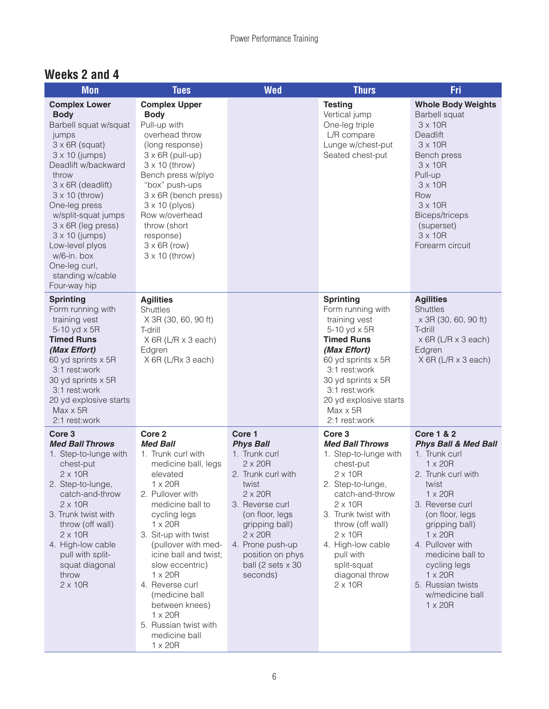#### **Weeks 2 and 4**

| <b>Mon</b>                                                                                                                                                                                                                                                                                                                                                                                        | <b>Tues</b>                                                                                                                                                                                                                                                                                                                                                                                                                      | <b>Wed</b>                                                                                                                                                                                                                                                        | <b>Thurs</b>                                                                                                                                                                                                                                                                                                    | <b>Fri</b>                                                                                                                                                                                                                                                                                                                                                 |
|---------------------------------------------------------------------------------------------------------------------------------------------------------------------------------------------------------------------------------------------------------------------------------------------------------------------------------------------------------------------------------------------------|----------------------------------------------------------------------------------------------------------------------------------------------------------------------------------------------------------------------------------------------------------------------------------------------------------------------------------------------------------------------------------------------------------------------------------|-------------------------------------------------------------------------------------------------------------------------------------------------------------------------------------------------------------------------------------------------------------------|-----------------------------------------------------------------------------------------------------------------------------------------------------------------------------------------------------------------------------------------------------------------------------------------------------------------|------------------------------------------------------------------------------------------------------------------------------------------------------------------------------------------------------------------------------------------------------------------------------------------------------------------------------------------------------------|
| <b>Complex Lower</b><br><b>Body</b><br>Barbell squat w/squat<br>jumps<br>$3 \times 6R$ (squat)<br>$3 \times 10$ (jumps)<br>Deadlift w/backward<br>throw<br>$3 \times 6R$ (deadlift)<br>$3 \times 10$ (throw)<br>One-leg press<br>w/split-squat jumps<br>$3 \times 6R$ (leg press)<br>$3 \times 10$ (jumps)<br>Low-level plyos<br>w/6-in. box<br>One-leg curl,<br>standing w/cable<br>Four-way hip | <b>Complex Upper</b><br><b>Body</b><br>Pull-up with<br>overhead throw<br>(long response)<br>$3 \times 6R$ (pull-up)<br>$3 \times 10$ (throw)<br>Bench press w/plyo<br>"box" push-ups<br>$3 \times 6R$ (bench press)<br>$3 \times 10$ (plyos)<br>Row w/overhead<br>throw (short<br>response)<br>$3 \times 6R$ (row)<br>$3 \times 10$ (throw)                                                                                      |                                                                                                                                                                                                                                                                   | <b>Testing</b><br>Vertical jump<br>One-leg triple<br>L/R compare<br>Lunge w/chest-put<br>Seated chest-put                                                                                                                                                                                                       | <b>Whole Body Weights</b><br><b>Barbell squat</b><br>$3 \times 10R$<br><b>Deadlift</b><br>$3 \times 10R$<br>Bench press<br>$3 \times 10R$<br>Pull-up<br>$3 \times 10R$<br>Row<br>$3 \times 10R$<br><b>Biceps/triceps</b><br>(superset)<br>$3 \times 10R$<br>Forearm circuit                                                                                |
| <b>Sprinting</b><br>Form running with<br>training vest<br>5-10 yd x 5R<br><b>Timed Runs</b><br>(Max Effort)<br>60 yd sprints x 5R<br>3:1 rest:work<br>30 yd sprints x 5R<br>3:1 rest:work<br>20 yd explosive starts<br>$Max \times 5R$<br>2:1 rest:work                                                                                                                                           | <b>Agilities</b><br><b>Shuttles</b><br>X 3R (30, 60, 90 ft)<br>T-drill<br>$X$ 6R (L/R $x$ 3 each)<br>Edgren<br>X 6R (L/Rx 3 each)                                                                                                                                                                                                                                                                                                |                                                                                                                                                                                                                                                                   | <b>Sprinting</b><br>Form running with<br>training vest<br>5-10 yd x 5R<br><b>Timed Runs</b><br>(Max Effort)<br>60 yd sprints x 5R<br>3:1 rest:work<br>30 yd sprints x 5R<br>3:1 rest:work<br>20 yd explosive starts<br>$Max \times 5R$<br>2:1 rest:work                                                         | <b>Agilities</b><br><b>Shuttles</b><br>x 3R (30, 60, 90 ft)<br>T-drill<br>x 6R (L/R x 3 each)<br>Edgren<br>$X$ 6R (L/R $\times$ 3 each)                                                                                                                                                                                                                    |
| Core <sub>3</sub><br><b>Med Ball Throws</b><br>1. Step-to-lunge with<br>chest-put<br>$2 \times 10R$<br>2. Step-to-lunge,<br>catch-and-throw<br>$2 \times 10R$<br>3. Trunk twist with<br>throw (off wall)<br>$2 \times 10R$<br>4. High-low cable<br>pull with split-<br>squat diagonal<br>throw<br>$2 \times 10R$                                                                                  | Core 2<br><b>Med Ball</b><br>1. Trunk curl with<br>medicine ball, legs<br>elevated<br>$1 \times 20R$<br>2. Pullover with<br>medicine ball to<br>cycling legs<br>$1 \times 20R$<br>3. Sit-up with twist<br>(pullover with med-<br>icine ball and twist;<br>slow eccentric)<br>$1 \times 20R$<br>4. Reverse curl<br>(medicine ball<br>between knees)<br>$1 \times 20R$<br>5. Russian twist with<br>medicine ball<br>$1 \times 20R$ | Core 1<br><b>Phys Ball</b><br>1. Trunk curl<br>$2 \times 20R$<br>2. Trunk curl with<br>twist<br>$2 \times 20R$<br>3. Reverse curl<br>(on floor, legs<br>gripping ball)<br>$2 \times 20R$<br>4. Prone push-up<br>position on phys<br>ball (2 sets x 30<br>seconds) | Core <sub>3</sub><br><b>Med Ball Throws</b><br>1. Step-to-lunge with<br>chest-put<br>$2 \times 10R$<br>2. Step-to-lunge,<br>catch-and-throw<br>$2 \times 10R$<br>3. Trunk twist with<br>throw (off wall)<br>$2 \times 10R$<br>4. High-low cable<br>pull with<br>split-squat<br>diagonal throw<br>$2 \times 10R$ | <b>Core 1 &amp; 2</b><br><b>Phys Ball &amp; Med Ball</b><br>1. Trunk curl<br>$1 \times 20R$<br>2. Trunk curl with<br>twist<br>$1 \times 20R$<br>3. Reverse curl<br>(on floor, legs<br>gripping ball)<br>$1 \times 20R$<br>4. Pullover with<br>medicine ball to<br>cycling legs<br>$1 \times 20R$<br>5. Russian twists<br>w/medicine ball<br>$1 \times 20R$ |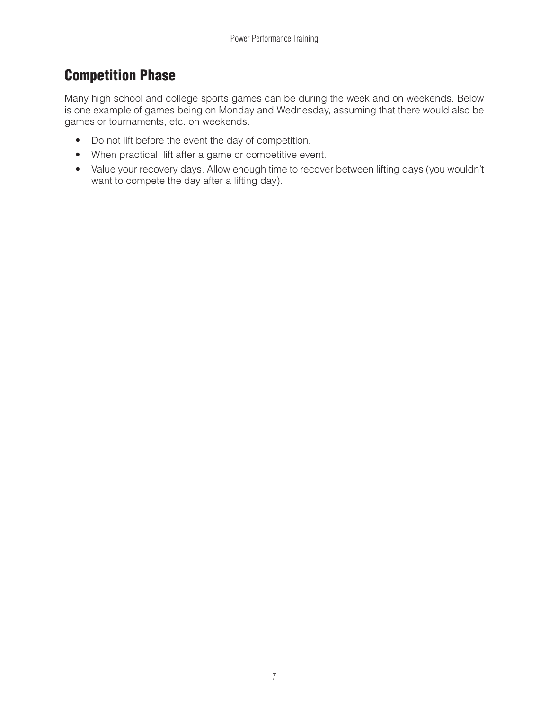### Competition Phase

Many high school and college sports games can be during the week and on weekends. Below is one example of games being on Monday and Wednesday, assuming that there would also be games or tournaments, etc. on weekends.

- Do not lift before the event the day of competition.
- When practical, lift after a game or competitive event.
- Value your recovery days. Allow enough time to recover between lifting days (you wouldn't want to compete the day after a lifting day).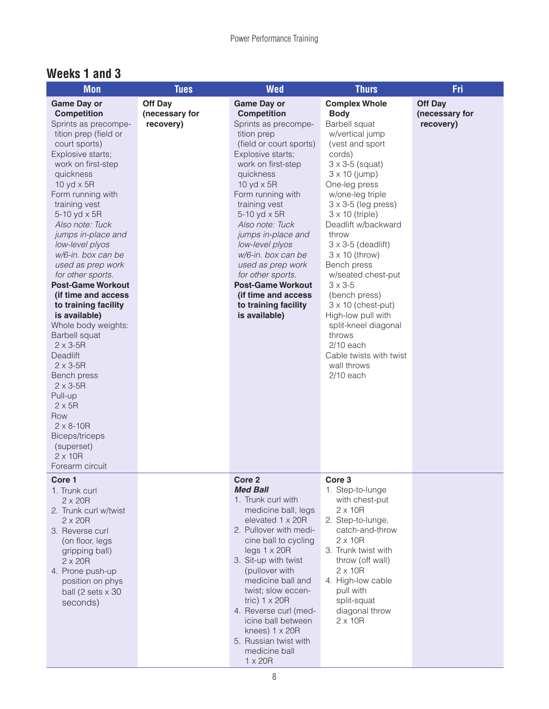#### **Weeks 1 and 3**

| <b>Mon</b>                                                                                                                                                                                                                                                                                                                                                                                                                                                                                                                                                                                                                                                                                                                                   | <b>Tues</b>                            | <b>Wed</b>                                                                                                                                                                                                                                                                                                                                                                                                                                                            | <b>Thurs</b>                                                                                                                                                                                                                                                                                                                                                                                                                                                                                                                                                                           | Fri                                           |
|----------------------------------------------------------------------------------------------------------------------------------------------------------------------------------------------------------------------------------------------------------------------------------------------------------------------------------------------------------------------------------------------------------------------------------------------------------------------------------------------------------------------------------------------------------------------------------------------------------------------------------------------------------------------------------------------------------------------------------------------|----------------------------------------|-----------------------------------------------------------------------------------------------------------------------------------------------------------------------------------------------------------------------------------------------------------------------------------------------------------------------------------------------------------------------------------------------------------------------------------------------------------------------|----------------------------------------------------------------------------------------------------------------------------------------------------------------------------------------------------------------------------------------------------------------------------------------------------------------------------------------------------------------------------------------------------------------------------------------------------------------------------------------------------------------------------------------------------------------------------------------|-----------------------------------------------|
| <b>Game Day or</b><br><b>Competition</b><br>Sprints as precompe-<br>tition prep (field or<br>court sports)<br>Explosive starts;<br>work on first-step<br>quickness<br>10 yd $\times$ 5R<br>Form running with<br>training vest<br>5-10 yd x 5R<br>Also note: Tuck<br>jumps in-place and<br>low-level plyos<br>w/6-in. box can be<br>used as prep work<br>for other sports.<br><b>Post-Game Workout</b><br>(if time and access<br>to training facility<br>is available)<br>Whole body weights:<br>Barbell squat<br>$2 \times 3 - 5R$<br><b>Deadlift</b><br>$2 \times 3 - 5R$<br>Bench press<br>$2 \times 3 - 5R$<br>Pull-up<br>$2 \times 5R$<br>Row<br>$2 \times 8 - 10R$<br>Biceps/triceps<br>(superset)<br>$2 \times 10R$<br>Forearm circuit | Off Day<br>(necessary for<br>recovery) | <b>Game Day or</b><br><b>Competition</b><br>Sprints as precompe-<br>tition prep<br>(field or court sports)<br>Explosive starts;<br>work on first-step<br>quickness<br>10 yd $\times$ 5R<br>Form running with<br>training vest<br>5-10 yd x 5R<br>Also note: Tuck<br>jumps in-place and<br>low-level plyos<br>w/6-in. box can be<br>used as prep work<br>for other sports.<br><b>Post-Game Workout</b><br>(if time and access<br>to training facility<br>is available) | <b>Complex Whole</b><br><b>Body</b><br>Barbell squat<br>w/vertical jump<br>(vest and sport<br>cords)<br>$3 \times 3 - 5$ (squat)<br>$3 \times 10$ (jump)<br>One-leg press<br>w/one-leg triple<br>$3 \times 3 - 5$ (leg press)<br>$3 \times 10$ (triple)<br>Deadlift w/backward<br>throw<br>$3 \times 3 - 5$ (deadlift)<br>$3 \times 10$ (throw)<br>Bench press<br>w/seated chest-put<br>$3 \times 3 - 5$<br>(bench press)<br>$3 \times 10$ (chest-put)<br>High-low pull with<br>split-kneel diagonal<br>throws<br>$2/10$ each<br>Cable twists with twist<br>wall throws<br>$2/10$ each | <b>Off Day</b><br>(necessary for<br>recovery) |
| Core 1<br>1. Trunk curl<br>$2 \times 20R$<br>2. Trunk curl w/twist<br>$2 \times 20R$<br>3. Reverse curl<br>(on floor, legs<br>gripping ball)<br>$2 \times 20R$<br>4. Prone push-up<br>position on phys<br>ball (2 sets $\times$ 30<br>seconds)                                                                                                                                                                                                                                                                                                                                                                                                                                                                                               |                                        | Core <sub>2</sub><br><b>Med Ball</b><br>1. Trunk curl with<br>medicine ball, legs<br>elevated 1 x 20R<br>2. Pullover with medi-<br>cine ball to cycling<br>legs 1 x 20R<br>3. Sit-up with twist<br>(pullover with<br>medicine ball and<br>twist; slow eccen-<br>tric) $1 \times 20R$<br>4. Reverse curl (med-<br>icine ball between<br>knees) $1 \times 20R$<br>5. Russian twist with<br>medicine ball<br>$1 \times 20R$                                              | Core 3<br>1. Step-to-lunge<br>with chest-put<br>$2 \times 10R$<br>2. Step-to-lunge,<br>catch-and-throw<br>$2 \times 10R$<br>3. Trunk twist with<br>throw (off wall)<br>$2 \times 10R$<br>4. High-low cable<br>pull with<br>split-squat<br>diagonal throw<br>$2 \times 10R$                                                                                                                                                                                                                                                                                                             |                                               |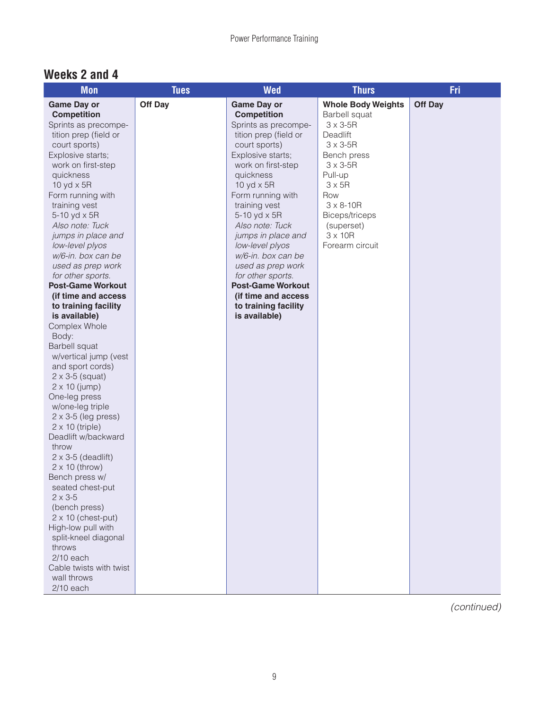#### **Weeks 2 and 4**

| <b>Mon</b>                   | <b>Tues</b>    | <b>Wed</b>               | <b>Thurs</b>              | Fri            |
|------------------------------|----------------|--------------------------|---------------------------|----------------|
| <b>Game Day or</b>           | <b>Off Day</b> | <b>Game Day or</b>       | <b>Whole Body Weights</b> | <b>Off Day</b> |
| <b>Competition</b>           |                | <b>Competition</b>       | Barbell squat             |                |
| Sprints as precompe-         |                | Sprints as precompe-     | $3 \times 3 - 5R$         |                |
| tition prep (field or        |                | tition prep (field or    | Deadlift                  |                |
| court sports)                |                | court sports)            | $3 \times 3 - 5R$         |                |
| Explosive starts;            |                | Explosive starts;        | Bench press               |                |
| work on first-step           |                | work on first-step       | $3 \times 3 - 5R$         |                |
| quickness                    |                | quickness                | Pull-up                   |                |
| 10 yd $\times$ 5R            |                | 10 yd $\times$ 5R        | $3 \times 5R$             |                |
| Form running with            |                | Form running with        | Row                       |                |
| training vest                |                | training vest            | $3 \times 8 - 10R$        |                |
| 5-10 yd x 5R                 |                | 5-10 yd x 5R             | Biceps/triceps            |                |
| Also note: Tuck              |                | Also note: Tuck          | (superset)                |                |
| jumps in place and           |                | jumps in place and       | $3 \times 10R$            |                |
| low-level plyos              |                | low-level plyos          | Forearm circuit           |                |
| w/6-in. box can be           |                | w/6-in. box can be       |                           |                |
| used as prep work            |                | used as prep work        |                           |                |
| for other sports.            |                | for other sports.        |                           |                |
| <b>Post-Game Workout</b>     |                | <b>Post-Game Workout</b> |                           |                |
| (if time and access          |                | (if time and access      |                           |                |
| to training facility         |                | to training facility     |                           |                |
| is available)                |                | is available)            |                           |                |
| Complex Whole                |                |                          |                           |                |
| Body:                        |                |                          |                           |                |
| <b>Barbell squat</b>         |                |                          |                           |                |
| w/vertical jump (vest        |                |                          |                           |                |
| and sport cords)             |                |                          |                           |                |
| $2 \times 3 - 5$ (squat)     |                |                          |                           |                |
| $2 \times 10$ (jump)         |                |                          |                           |                |
| One-leg press                |                |                          |                           |                |
| w/one-leg triple             |                |                          |                           |                |
| $2 \times 3 - 5$ (leg press) |                |                          |                           |                |
| $2 \times 10$ (triple)       |                |                          |                           |                |
| Deadlift w/backward          |                |                          |                           |                |
| throw                        |                |                          |                           |                |
| $2 \times 3 - 5$ (deadlift)  |                |                          |                           |                |
| $2 \times 10$ (throw)        |                |                          |                           |                |
| Bench press w/               |                |                          |                           |                |
| seated chest-put             |                |                          |                           |                |
| $2 \times 3 - 5$             |                |                          |                           |                |
| (bench press)                |                |                          |                           |                |
| $2 \times 10$ (chest-put)    |                |                          |                           |                |
| High-low pull with           |                |                          |                           |                |
| split-kneel diagonal         |                |                          |                           |                |
| throws                       |                |                          |                           |                |
| $2/10$ each                  |                |                          |                           |                |
| Cable twists with twist      |                |                          |                           |                |
| wall throws                  |                |                          |                           |                |
| $2/10$ each                  |                |                          |                           |                |

*(continued)*